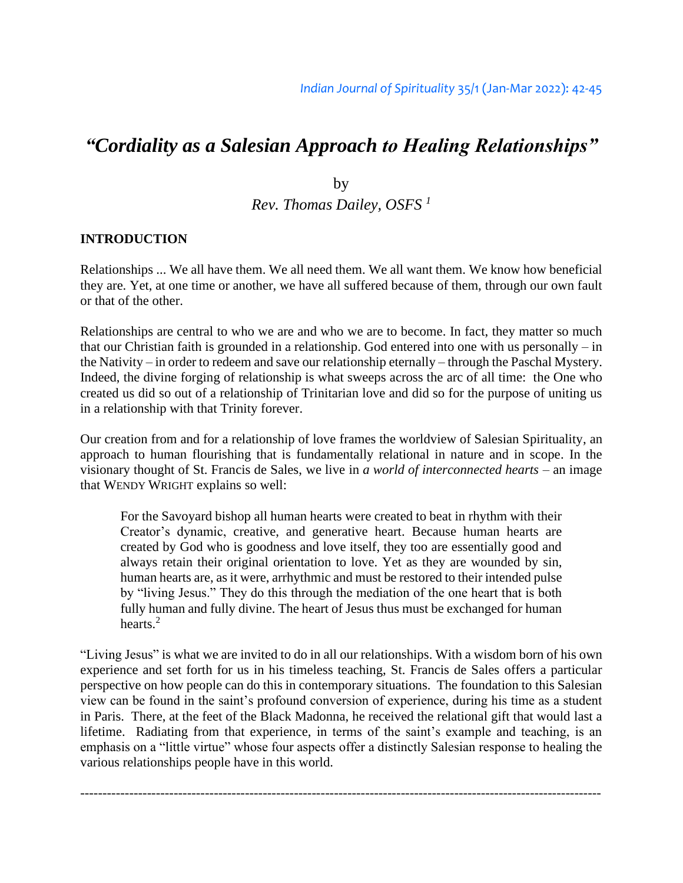# *"Cordiality as a Salesian Approach to Healing Relationships"*

by *Rev. Thomas Dailey, OSFS <sup>1</sup>*

#### **INTRODUCTION**

Relationships ... We all have them. We all need them. We all want them. We know how beneficial they are. Yet, at one time or another, we have all suffered because of them, through our own fault or that of the other.

Relationships are central to who we are and who we are to become. In fact, they matter so much that our Christian faith is grounded in a relationship. God entered into one with us personally – in the Nativity – in order to redeem and save our relationship eternally – through the Paschal Mystery. Indeed, the divine forging of relationship is what sweeps across the arc of all time: the One who created us did so out of a relationship of Trinitarian love and did so for the purpose of uniting us in a relationship with that Trinity forever.

Our creation from and for a relationship of love frames the worldview of Salesian Spirituality, an approach to human flourishing that is fundamentally relational in nature and in scope. In the visionary thought of St. Francis de Sales, we live in *a world of interconnected hearts* – an image that WENDY WRIGHT explains so well:

For the Savoyard bishop all human hearts were created to beat in rhythm with their Creator's dynamic, creative, and generative heart. Because human hearts are created by God who is goodness and love itself, they too are essentially good and always retain their original orientation to love. Yet as they are wounded by sin, human hearts are, as it were, arrhythmic and must be restored to their intended pulse by "living Jesus." They do this through the mediation of the one heart that is both fully human and fully divine. The heart of Jesus thus must be exchanged for human hearts.<sup>2</sup>

"Living Jesus" is what we are invited to do in all our relationships. With a wisdom born of his own experience and set forth for us in his timeless teaching, St. Francis de Sales offers a particular perspective on how people can do this in contemporary situations. The foundation to this Salesian view can be found in the saint's profound conversion of experience, during his time as a student in Paris. There, at the feet of the Black Madonna, he received the relational gift that would last a lifetime. Radiating from that experience, in terms of the saint's example and teaching, is an emphasis on a "little virtue" whose four aspects offer a distinctly Salesian response to healing the various relationships people have in this world.

---------------------------------------------------------------------------------------------------------------------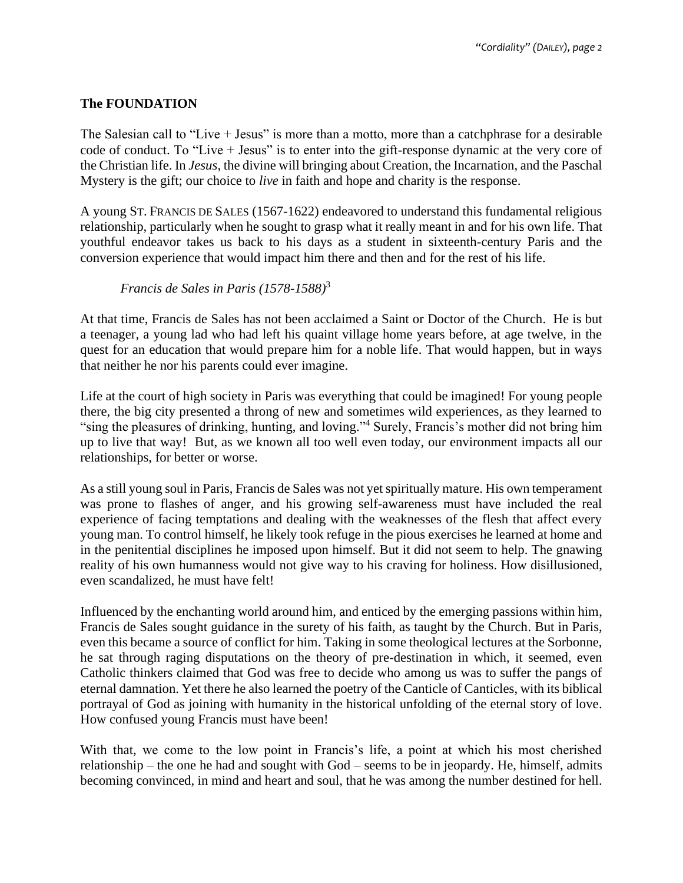## **The FOUNDATION**

The Salesian call to "Live + Jesus" is more than a motto, more than a catchphrase for a desirable code of conduct. To "Live + Jesus" is to enter into the gift-response dynamic at the very core of the Christian life. In *Jesus*, the divine will bringing about Creation, the Incarnation, and the Paschal Mystery is the gift; our choice to *live* in faith and hope and charity is the response.

A young ST. FRANCIS DE SALES (1567-1622) endeavored to understand this fundamental religious relationship, particularly when he sought to grasp what it really meant in and for his own life. That youthful endeavor takes us back to his days as a student in sixteenth-century Paris and the conversion experience that would impact him there and then and for the rest of his life.

## *Francis de Sales in Paris (1578-1588)*<sup>3</sup>

At that time, Francis de Sales has not been acclaimed a Saint or Doctor of the Church. He is but a teenager, a young lad who had left his quaint village home years before, at age twelve, in the quest for an education that would prepare him for a noble life. That would happen, but in ways that neither he nor his parents could ever imagine.

Life at the court of high society in Paris was everything that could be imagined! For young people there, the big city presented a throng of new and sometimes wild experiences, as they learned to "sing the pleasures of drinking, hunting, and loving." <sup>4</sup> Surely, Francis's mother did not bring him up to live that way! But, as we known all too well even today, our environment impacts all our relationships, for better or worse.

As a still young soul in Paris, Francis de Sales was not yet spiritually mature. His own temperament was prone to flashes of anger, and his growing self-awareness must have included the real experience of facing temptations and dealing with the weaknesses of the flesh that affect every young man. To control himself, he likely took refuge in the pious exercises he learned at home and in the penitential disciplines he imposed upon himself. But it did not seem to help. The gnawing reality of his own humanness would not give way to his craving for holiness. How disillusioned, even scandalized, he must have felt!

Influenced by the enchanting world around him, and enticed by the emerging passions within him, Francis de Sales sought guidance in the surety of his faith, as taught by the Church. But in Paris, even this became a source of conflict for him. Taking in some theological lectures at the Sorbonne, he sat through raging disputations on the theory of pre-destination in which, it seemed, even Catholic thinkers claimed that God was free to decide who among us was to suffer the pangs of eternal damnation. Yet there he also learned the poetry of the Canticle of Canticles, with its biblical portrayal of God as joining with humanity in the historical unfolding of the eternal story of love. How confused young Francis must have been!

With that, we come to the low point in Francis's life, a point at which his most cherished relationship – the one he had and sought with God – seems to be in jeopardy. He, himself, admits becoming convinced, in mind and heart and soul, that he was among the number destined for hell.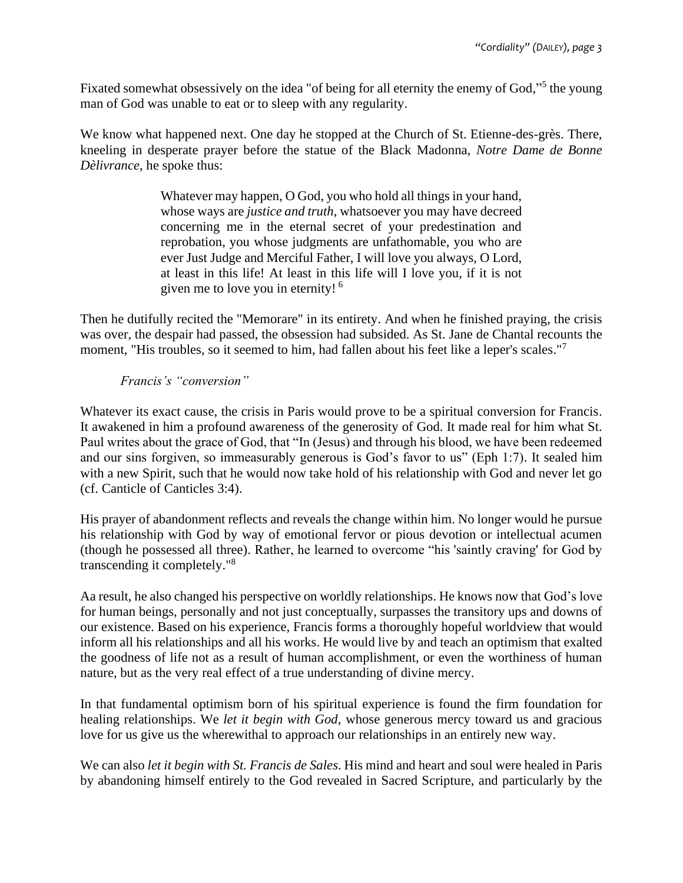Fixated somewhat obsessively on the idea "of being for all eternity the enemy of God,"<sup>5</sup> the young man of God was unable to eat or to sleep with any regularity.

We know what happened next. One day he stopped at the Church of St. Etienne-des-grès. There, kneeling in desperate prayer before the statue of the Black Madonna, *Notre Dame de Bonne Dèlivrance*, he spoke thus:

> Whatever may happen, O God, you who hold all things in your hand, whose ways are *justice and truth*, whatsoever you may have decreed concerning me in the eternal secret of your predestination and reprobation, you whose judgments are unfathomable, you who are ever Just Judge and Merciful Father, I will love you always, O Lord, at least in this life! At least in this life will I love you, if it is not given me to love you in eternity! <sup>6</sup>

Then he dutifully recited the "Memorare" in its entirety. And when he finished praying, the crisis was over, the despair had passed, the obsession had subsided. As St. Jane de Chantal recounts the moment, "His troubles, so it seemed to him, had fallen about his feet like a leper's scales."<sup>7</sup>

## *Francis's "conversion"*

Whatever its exact cause, the crisis in Paris would prove to be a spiritual conversion for Francis. It awakened in him a profound awareness of the generosity of God. It made real for him what St. Paul writes about the grace of God, that "In (Jesus) and through his blood, we have been redeemed and our sins forgiven, so immeasurably generous is God's favor to us" (Eph 1:7). It sealed him with a new Spirit, such that he would now take hold of his relationship with God and never let go (cf. Canticle of Canticles 3:4).

His prayer of abandonment reflects and reveals the change within him. No longer would he pursue his relationship with God by way of emotional fervor or pious devotion or intellectual acumen (though he possessed all three). Rather, he learned to overcome "his 'saintly craving' for God by transcending it completely." 8

Aa result, he also changed his perspective on worldly relationships. He knows now that God's love for human beings, personally and not just conceptually, surpasses the transitory ups and downs of our existence. Based on his experience, Francis forms a thoroughly hopeful worldview that would inform all his relationships and all his works. He would live by and teach an optimism that exalted the goodness of life not as a result of human accomplishment, or even the worthiness of human nature, but as the very real effect of a true understanding of divine mercy.

In that fundamental optimism born of his spiritual experience is found the firm foundation for healing relationships. We *let it begin with God*, whose generous mercy toward us and gracious love for us give us the wherewithal to approach our relationships in an entirely new way.

We can also *let it begin with St. Francis de Sales*. His mind and heart and soul were healed in Paris by abandoning himself entirely to the God revealed in Sacred Scripture, and particularly by the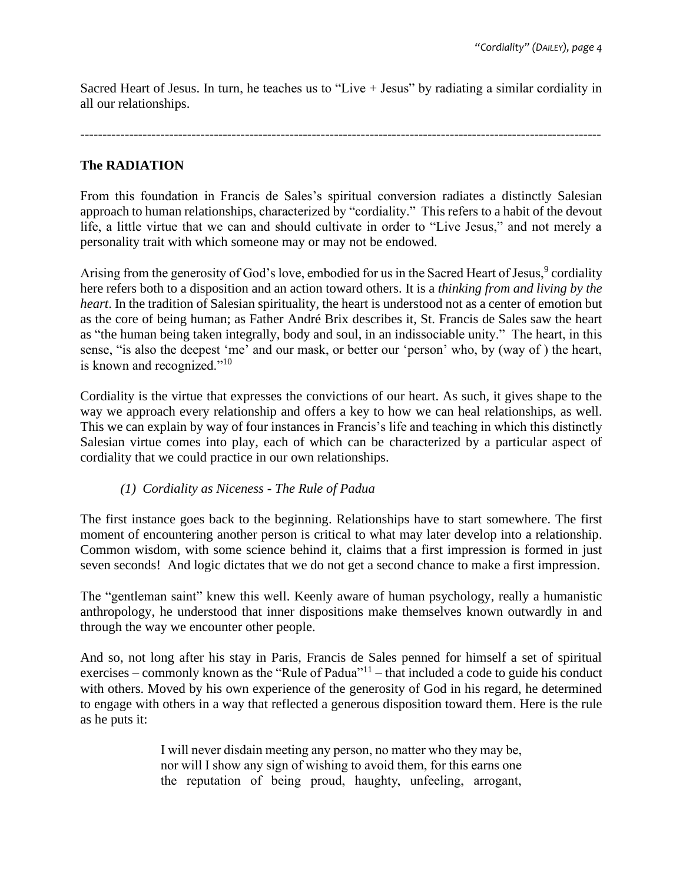Sacred Heart of Jesus. In turn, he teaches us to "Live + Jesus" by radiating a similar cordiality in all our relationships.

---------------------------------------------------------------------------------------------------------------------

## **The RADIATION**

From this foundation in Francis de Sales's spiritual conversion radiates a distinctly Salesian approach to human relationships, characterized by "cordiality." This refers to a habit of the devout life, a little virtue that we can and should cultivate in order to "Live Jesus," and not merely a personality trait with which someone may or may not be endowed.

Arising from the generosity of God's love, embodied for us in the Sacred Heart of Jesus,<sup>9</sup> cordiality here refers both to a disposition and an action toward others. It is a *thinking from and living by the heart*. In the tradition of Salesian spirituality, the heart is understood not as a center of emotion but as the core of being human; as Father André Brix describes it, St. Francis de Sales saw the heart as "the human being taken integrally, body and soul, in an indissociable unity." The heart, in this sense, "is also the deepest 'me' and our mask, or better our 'person' who, by (way of ) the heart, is known and recognized."<sup>10</sup>

Cordiality is the virtue that expresses the convictions of our heart. As such, it gives shape to the way we approach every relationship and offers a key to how we can heal relationships, as well. This we can explain by way of four instances in Francis's life and teaching in which this distinctly Salesian virtue comes into play, each of which can be characterized by a particular aspect of cordiality that we could practice in our own relationships.

## *(1) Cordiality as Niceness - The Rule of Padua*

The first instance goes back to the beginning. Relationships have to start somewhere. The first moment of encountering another person is critical to what may later develop into a relationship. Common wisdom, with some science behind it, claims that a first impression is formed in just seven seconds! And logic dictates that we do not get a second chance to make a first impression.

The "gentleman saint" knew this well. Keenly aware of human psychology, really a humanistic anthropology, he understood that inner dispositions make themselves known outwardly in and through the way we encounter other people.

And so, not long after his stay in Paris, Francis de Sales penned for himself a set of spiritual exercises – commonly known as the "Rule of Padua" $11$  – that included a code to guide his conduct with others. Moved by his own experience of the generosity of God in his regard, he determined to engage with others in a way that reflected a generous disposition toward them. Here is the rule as he puts it:

> I will never disdain meeting any person, no matter who they may be, nor will I show any sign of wishing to avoid them, for this earns one the reputation of being proud, haughty, unfeeling, arrogant,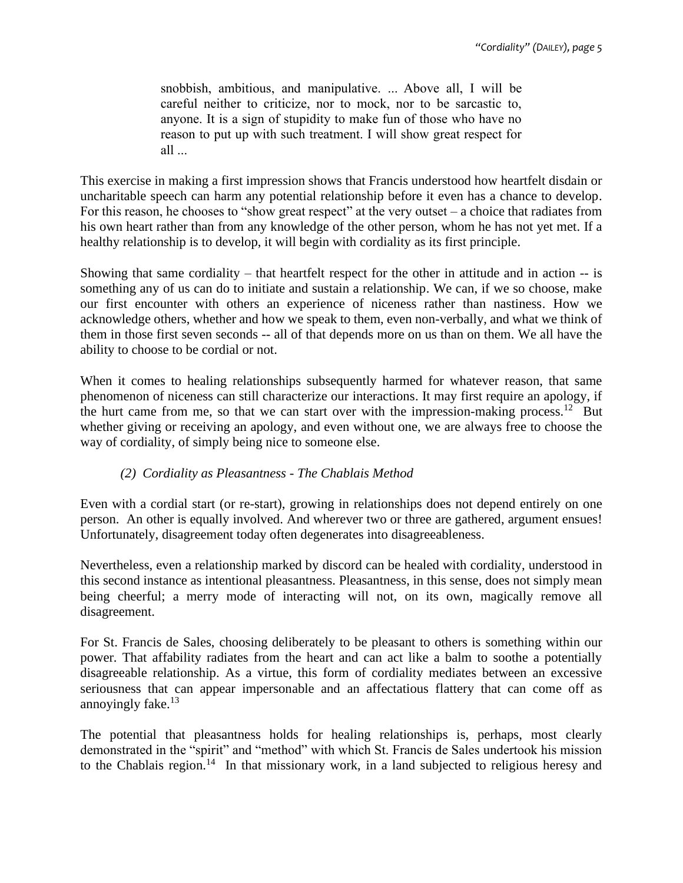snobbish, ambitious, and manipulative. ... Above all, I will be careful neither to criticize, nor to mock, nor to be sarcastic to, anyone. It is a sign of stupidity to make fun of those who have no reason to put up with such treatment. I will show great respect for all ...

This exercise in making a first impression shows that Francis understood how heartfelt disdain or uncharitable speech can harm any potential relationship before it even has a chance to develop. For this reason, he chooses to "show great respect" at the very outset – a choice that radiates from his own heart rather than from any knowledge of the other person, whom he has not yet met. If a healthy relationship is to develop, it will begin with cordiality as its first principle.

Showing that same cordiality – that heartfelt respect for the other in attitude and in action -- is something any of us can do to initiate and sustain a relationship. We can, if we so choose, make our first encounter with others an experience of niceness rather than nastiness. How we acknowledge others, whether and how we speak to them, even non-verbally, and what we think of them in those first seven seconds -- all of that depends more on us than on them. We all have the ability to choose to be cordial or not.

When it comes to healing relationships subsequently harmed for whatever reason, that same phenomenon of niceness can still characterize our interactions. It may first require an apology, if the hurt came from me, so that we can start over with the impression-making process.<sup>12</sup> But whether giving or receiving an apology, and even without one, we are always free to choose the way of cordiality, of simply being nice to someone else.

## *(2) Cordiality as Pleasantness - The Chablais Method*

Even with a cordial start (or re-start), growing in relationships does not depend entirely on one person. An other is equally involved. And wherever two or three are gathered, argument ensues! Unfortunately, disagreement today often degenerates into disagreeableness.

Nevertheless, even a relationship marked by discord can be healed with cordiality, understood in this second instance as intentional pleasantness. Pleasantness, in this sense, does not simply mean being cheerful; a merry mode of interacting will not, on its own, magically remove all disagreement.

For St. Francis de Sales, choosing deliberately to be pleasant to others is something within our power. That affability radiates from the heart and can act like a balm to soothe a potentially disagreeable relationship. As a virtue, this form of cordiality mediates between an excessive seriousness that can appear impersonable and an affectatious flattery that can come off as annoyingly fake. $13$ 

The potential that pleasantness holds for healing relationships is, perhaps, most clearly demonstrated in the "spirit" and "method" with which St. Francis de Sales undertook his mission to the Chablais region.<sup>14</sup> In that missionary work, in a land subjected to religious heresy and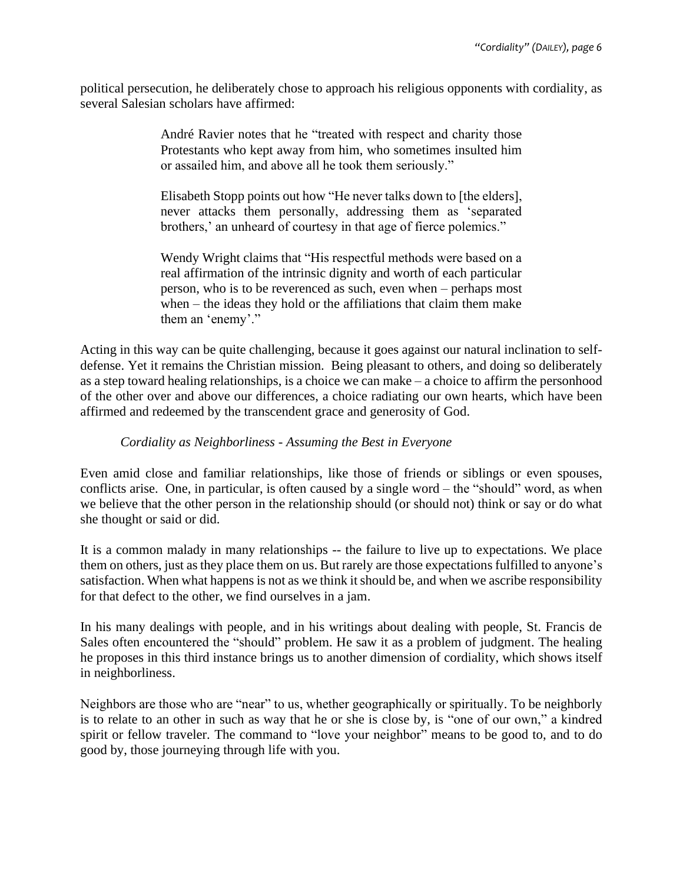political persecution, he deliberately chose to approach his religious opponents with cordiality, as several Salesian scholars have affirmed:

> André Ravier notes that he "treated with respect and charity those Protestants who kept away from him, who sometimes insulted him or assailed him, and above all he took them seriously."

> Elisabeth Stopp points out how "He never talks down to [the elders], never attacks them personally, addressing them as 'separated brothers,' an unheard of courtesy in that age of fierce polemics."

> Wendy Wright claims that "His respectful methods were based on a real affirmation of the intrinsic dignity and worth of each particular person, who is to be reverenced as such, even when – perhaps most when – the ideas they hold or the affiliations that claim them make them an 'enemy'."

Acting in this way can be quite challenging, because it goes against our natural inclination to selfdefense. Yet it remains the Christian mission. Being pleasant to others, and doing so deliberately as a step toward healing relationships, is a choice we can make – a choice to affirm the personhood of the other over and above our differences, a choice radiating our own hearts, which have been affirmed and redeemed by the transcendent grace and generosity of God.

## *Cordiality as Neighborliness - Assuming the Best in Everyone*

Even amid close and familiar relationships, like those of friends or siblings or even spouses, conflicts arise. One, in particular, is often caused by a single word – the "should" word, as when we believe that the other person in the relationship should (or should not) think or say or do what she thought or said or did.

It is a common malady in many relationships -- the failure to live up to expectations. We place them on others, just as they place them on us. But rarely are those expectations fulfilled to anyone's satisfaction. When what happens is not as we think it should be, and when we ascribe responsibility for that defect to the other, we find ourselves in a jam.

In his many dealings with people, and in his writings about dealing with people, St. Francis de Sales often encountered the "should" problem. He saw it as a problem of judgment. The healing he proposes in this third instance brings us to another dimension of cordiality, which shows itself in neighborliness.

Neighbors are those who are "near" to us, whether geographically or spiritually. To be neighborly is to relate to an other in such as way that he or she is close by, is "one of our own," a kindred spirit or fellow traveler. The command to "love your neighbor" means to be good to, and to do good by, those journeying through life with you.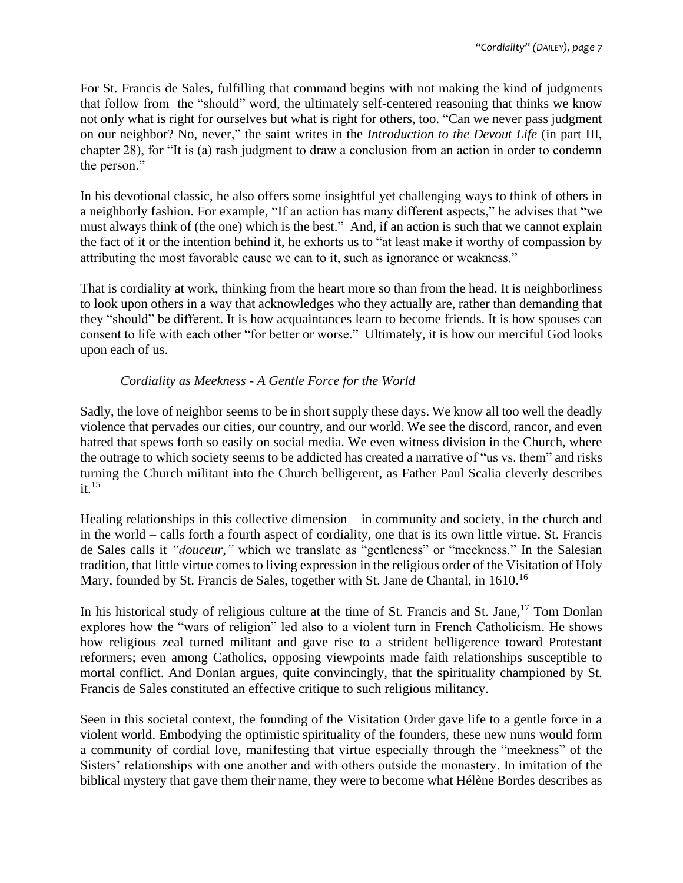For St. Francis de Sales, fulfilling that command begins with not making the kind of judgments that follow from the "should" word, the ultimately self-centered reasoning that thinks we know not only what is right for ourselves but what is right for others, too. "Can we never pass judgment on our neighbor? No, never," the saint writes in the *Introduction to the Devout Life* (in part III, chapter 28), for "It is (a) rash judgment to draw a conclusion from an action in order to condemn the person."

In his devotional classic, he also offers some insightful yet challenging ways to think of others in a neighborly fashion. For example, "If an action has many different aspects," he advises that "we must always think of (the one) which is the best." And, if an action is such that we cannot explain the fact of it or the intention behind it, he exhorts us to "at least make it worthy of compassion by attributing the most favorable cause we can to it, such as ignorance or weakness."

That is cordiality at work, thinking from the heart more so than from the head. It is neighborliness to look upon others in a way that acknowledges who they actually are, rather than demanding that they "should" be different. It is how acquaintances learn to become friends. It is how spouses can consent to life with each other "for better or worse." Ultimately, it is how our merciful God looks upon each of us.

# *Cordiality as Meekness - A Gentle Force for the World*

Sadly, the love of neighbor seems to be in short supply these days. We know all too well the deadly violence that pervades our cities, our country, and our world. We see the discord, rancor, and even hatred that spews forth so easily on social media. We even witness division in the Church, where the outrage to which society seems to be addicted has created a narrative of "us vs. them" and risks turning the Church militant into the Church belligerent, as Father Paul Scalia cleverly describes  $it<sup>15</sup>$ 

Healing relationships in this collective dimension – in community and society, in the church and in the world – calls forth a fourth aspect of cordiality, one that is its own little virtue. St. Francis de Sales calls it *"douceur,"* which we translate as "gentleness" or "meekness." In the Salesian tradition, that little virtue comes to living expression in the religious order of the Visitation of Holy Mary, founded by St. Francis de Sales, together with St. Jane de Chantal, in 1610.<sup>16</sup>

In his historical study of religious culture at the time of St. Francis and St. Jane,  $17$  Tom Donlan explores how the "wars of religion" led also to a violent turn in French Catholicism. He shows how religious zeal turned militant and gave rise to a strident belligerence toward Protestant reformers; even among Catholics, opposing viewpoints made faith relationships susceptible to mortal conflict. And Donlan argues, quite convincingly, that the spirituality championed by St. Francis de Sales constituted an effective critique to such religious militancy.

Seen in this societal context, the founding of the Visitation Order gave life to a gentle force in a violent world. Embodying the optimistic spirituality of the founders, these new nuns would form a community of cordial love, manifesting that virtue especially through the "meekness" of the Sisters' relationships with one another and with others outside the monastery. In imitation of the biblical mystery that gave them their name, they were to become what Hélène Bordes describes as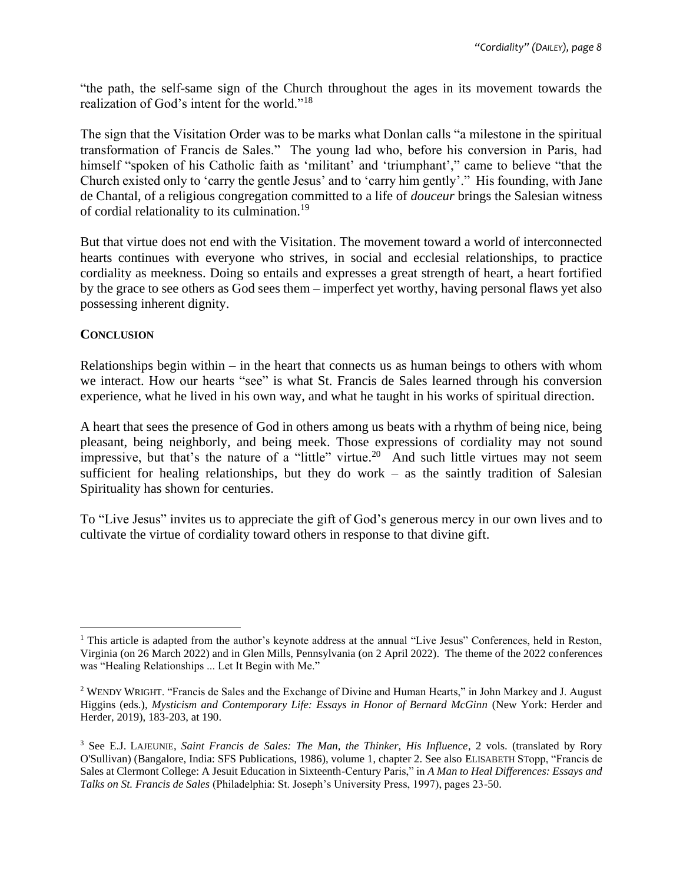"the path, the self-same sign of the Church throughout the ages in its movement towards the realization of God's intent for the world."<sup>18</sup>

The sign that the Visitation Order was to be marks what Donlan calls "a milestone in the spiritual transformation of Francis de Sales." The young lad who, before his conversion in Paris, had himself "spoken of his Catholic faith as 'militant' and 'triumphant'," came to believe "that the Church existed only to 'carry the gentle Jesus' and to 'carry him gently'." His founding, with Jane de Chantal, of a religious congregation committed to a life of *douceur* brings the Salesian witness of cordial relationality to its culmination.<sup>19</sup>

But that virtue does not end with the Visitation. The movement toward a world of interconnected hearts continues with everyone who strives, in social and ecclesial relationships, to practice cordiality as meekness. Doing so entails and expresses a great strength of heart, a heart fortified by the grace to see others as God sees them – imperfect yet worthy, having personal flaws yet also possessing inherent dignity.

#### **CONCLUSION**

Relationships begin within – in the heart that connects us as human beings to others with whom we interact. How our hearts "see" is what St. Francis de Sales learned through his conversion experience, what he lived in his own way, and what he taught in his works of spiritual direction.

A heart that sees the presence of God in others among us beats with a rhythm of being nice, being pleasant, being neighborly, and being meek. Those expressions of cordiality may not sound impressive, but that's the nature of a "little" virtue.<sup>20</sup> And such little virtues may not seem sufficient for healing relationships, but they do work – as the saintly tradition of Salesian Spirituality has shown for centuries.

To "Live Jesus" invites us to appreciate the gift of God's generous mercy in our own lives and to cultivate the virtue of cordiality toward others in response to that divine gift.

<sup>&</sup>lt;sup>1</sup> This article is adapted from the author's keynote address at the annual "Live Jesus" Conferences, held in Reston, Virginia (on 26 March 2022) and in Glen Mills, Pennsylvania (on 2 April 2022). The theme of the 2022 conferences was "Healing Relationships ... Let It Begin with Me."

<sup>2</sup> WENDY WRIGHT. "Francis de Sales and the Exchange of Divine and Human Hearts," in John Markey and J. August Higgins (eds.), *Mysticism and Contemporary Life: Essays in Honor of Bernard McGinn* (New York: Herder and Herder, 2019), 183-203, at 190.

<sup>3</sup> See E.J. LAJEUNIE, *Saint Francis de Sales: The Man, the Thinker, His Influence*, 2 vols. (translated by Rory O'Sullivan) (Bangalore, India: SFS Publications, 1986), volume 1, chapter 2. See also ELISABETH STopp, "Francis de Sales at Clermont College: A Jesuit Education in Sixteenth-Century Paris," in *A Man to Heal Differences: Essays and Talks on St. Francis de Sales* (Philadelphia: St. Joseph's University Press, 1997), pages 23-50.